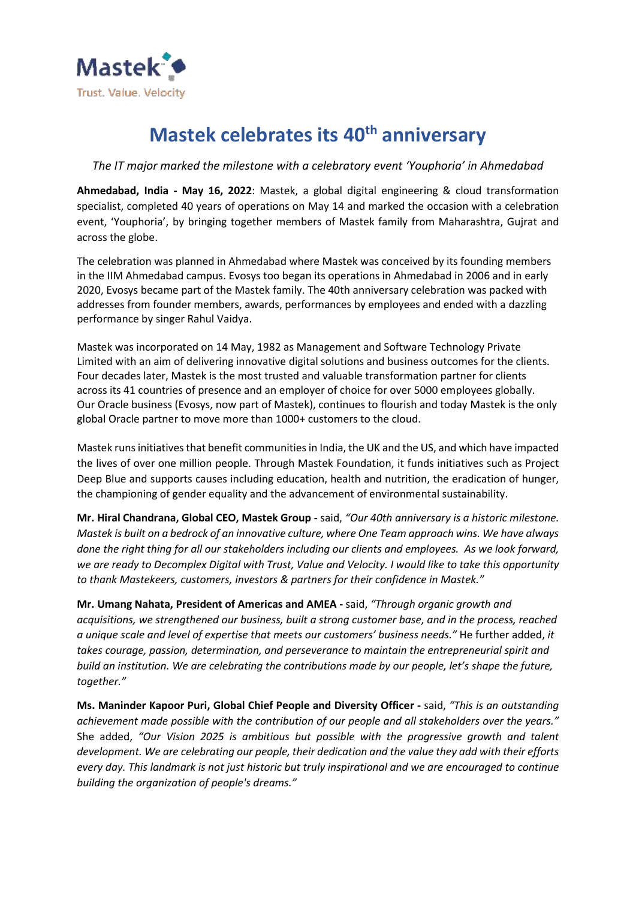

## **Mastek celebrates its 40th anniversary**

## *The IT major marked the milestone with a celebratory event 'Youphoria' in Ahmedabad*

**Ahmedabad, India - May 16, 2022**: Mastek, a global digital engineering & cloud transformation specialist, completed 40 years of operations on May 14 and marked the occasion with a celebration event, 'Youphoria', by bringing together members of Mastek family from Maharashtra, Gujrat and across the globe.

The celebration was planned in Ahmedabad where Mastek was conceived by its founding members in the IIM Ahmedabad campus. Evosys too began its operations in Ahmedabad in 2006 and in early 2020, Evosys became part of the Mastek family. The 40th anniversary celebration was packed with addresses from founder members, awards, performances by employees and ended with a dazzling performance by singer Rahul Vaidya.

Mastek was incorporated on 14 May, 1982 as Management and Software Technology Private Limited with an aim of delivering innovative digital solutions and business outcomes for the clients. Four decades later, Mastek is the most trusted and valuable transformation partner for clients across its 41 countries of presence and an employer of choice for over 5000 employees globally. Our Oracle business (Evosys, now part of Mastek), continues to flourish and today Mastek is the only global Oracle partner to move more than 1000+ customers to the cloud.

Mastek runs initiatives that benefit communities in India, the UK and the US, and which have impacted the lives of over one million people. Through Mastek Foundation, it funds initiatives such as Project Deep Blue and supports causes including education, health and nutrition, the eradication of hunger, the championing of gender equality and the advancement of environmental sustainability.

**Mr. Hiral Chandrana, Global CEO, Mastek Group -** said, *"Our 40th anniversary is a historic milestone. Mastek is built on a bedrock of an innovative culture, where One Team approach wins. We have always done the right thing for all our stakeholders including our clients and employees. As we look forward, we are ready to Decomplex Digital with Trust, Value and Velocity. I would like to take this opportunity to thank Mastekeers, customers, investors & partners for their confidence in Mastek."*

**Mr. Umang Nahata, President of Americas and AMEA -** said, *"Through organic growth and acquisitions, we strengthened our business, built a strong customer base, and in the process, reached a unique scale and level of expertise that meets our customers' business needs."* He further added, *it takes courage, passion, determination, and perseverance to maintain the entrepreneurial spirit and build an institution. We are celebrating the contributions made by our people, let's shape the future, together."*

**Ms. Maninder Kapoor Puri, Global Chief People and Diversity Officer -** said, *"This is an outstanding achievement made possible with the contribution of our people and all stakeholders over the years."* She added, *"Our Vision 2025 is ambitious but possible with the progressive growth and talent development. We are celebrating our people, their dedication and the value they add with their efforts every day. This landmark is not just historic but truly inspirational and we are encouraged to continue building the organization of people's dreams."*